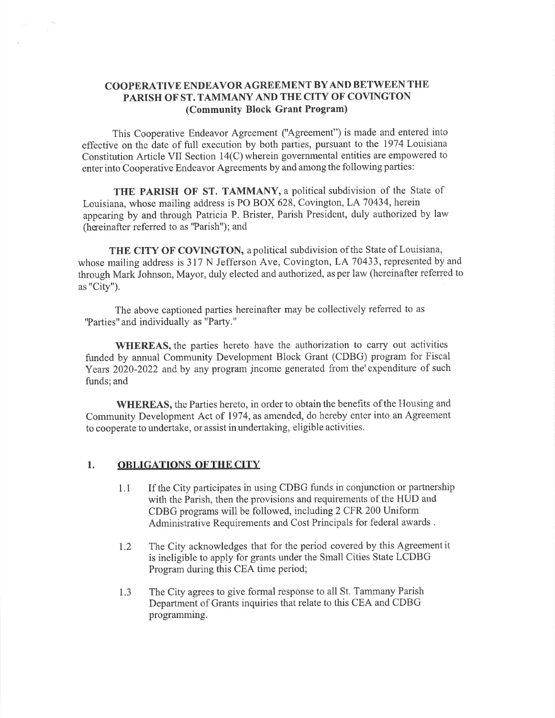## COOPERATIVE ENDEAVOR AGREEMENT BY AND BETWEEN THE PARISH OF ST. TAMMANY AND THE CITY OF COVINGTON (CommunitY Block Grant Program)

This Cooperative Endeavor Agreement ("Agreement") is made and entered into effective on the date of full execution by both parties, pursuant to the 1974 Louisiana Constitution Article VII Section i4(C) wherein govemmental entities are empowered to enter into Cooperative Endeavor Agreements by and among the following parties:

THE PARISH OF ST. TAMMANY, a political subdivision of the State of Louisiana, whose mailing address is PO BOX 628, Covington, LA 70434, herein appearing by and through Patricia P. Brister, Parish President, duly authorized by law (hereinafter referred to as 'Parish"); and

THE CITY OF COVINGTON, a political subdivision of the State of Louisiana, whose mailing address is 317 N Jefferson Ave, Covington, LA 70433, represented by and through Mark Johnson, Mayor, duly elected and authorized, as per law (hereinafter referred to as "City").

The above captioned parties hereinafter may be collectively referred to as 'Parties" and individually as "Party."

WHEREAS, the parties hereto have the authorization to carry out activities funded by annual Community Development Block Grant (CDBG) program for Fiscal Years 2020-2022 and by any program jncome generated from the'expenditure of such funds; and

WHEREAS, the Parties hereto, in order to obtain the benefits of the Housing and Community Development Act of 1974, as amended, do hereby enter into an Agreement to cooperate to undertake, or assist in undertaking, eligible activities.

## 1. OBLIGATIONS OFTHE CITY

- 1.1 If the City participates in using CDBG funds in conjunction or partnership with the Parish, then the provisions and requirements of the HUD and CDBG programs will be followed, including 2 CFR 200 Uniform Administrative Requirements and Cost Principals for federal awards .
- 1.2 The City acknowledges that for the period covered by this Agreement it is ineligible to apply for grants under the Small Cities State LCDBG Program during this CEA time period;
- The City agrees to give formal response to all St. Tammany Parish Department of Grants inquiries that relate to this CEA and CDBG programming. 1.3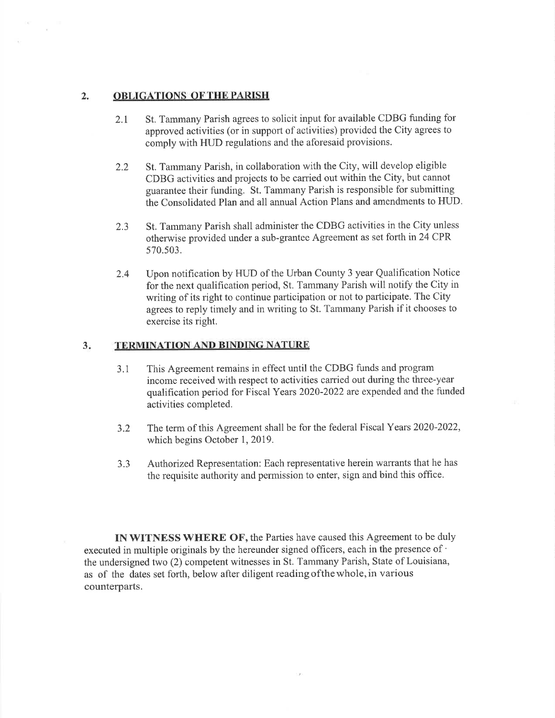## ,, OBLIGATIONS OF THE PARISH

- 2.1 St. Tammany Parish agrees to solicit input for available CDBG funding for approved activities (or in support of activities) provided the City agrees to comply with HUD regulations and the aforesaid provisions.
- 2.2 St. Tammany Parish, in collaboration with the City, will develop eligible CDBG activities and projects to be carried out within the City, but cannot guarantee their funding. St. Tammany Parish is responsible for submitting the Consolidated Plan and all annual Action Plans and amendments to HUD.
- 2.3 St. Tammany Parish shall administer the CDBG activities in the City unless otherwise provided under a sub-grantee Agreement as set forth in 24 CPR 570.s03.
- 2.4 Upon notification by HUD of the Urban County 3 year Qualification Notice for the next qualification period, St. Tammany Parish will notify the City in writing of its right to continue participation or not to participate. The City agrees to reply timely and in writing to St. Tammany Parish if it chooses to exercise its right.

## TERMINATION AND BINDING NATURE  $3<sub>i</sub>$

- 3.1 This Agreement remains in effect until the CDBG funds and program income received with respect to activities caried out during the three-year qualification period for Fiscal Years 2020-2022 are expended and the funded activities completed.
- 3.2 The term of this Agreement shall be for the federal Fiscal Years 2020-2022, which begins October 1, 2019.
- 3.3 Authorized Representation: Each representative herein warrants that he has the requisite authority and permission to enter, sign and bind this office.

IN WITNESS WHERE OF, the Parties have caused this Agreement to be duly executed in multiple originals by the hereunder signed officers, each in the presence of ' the undersigned two (2) competent witnesses in St. Tammany Parish, State of Louisiana, as of the dates set forth, below after diligent reading ofthe whole, in various counterparts.